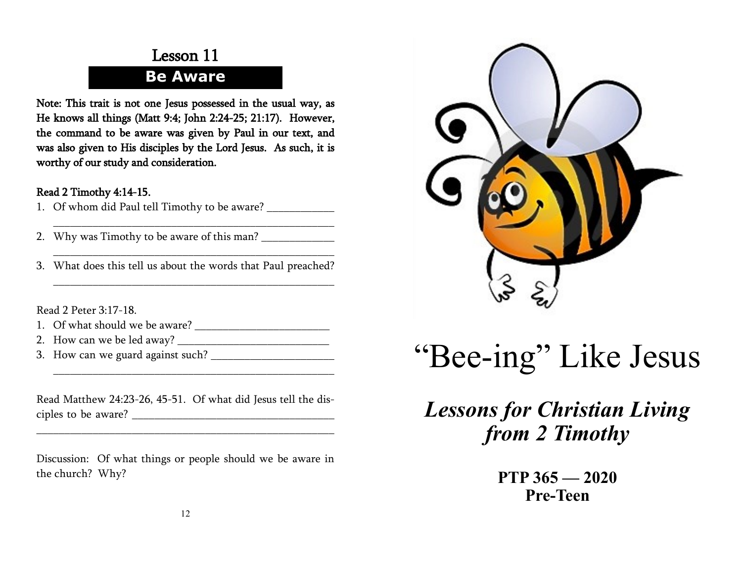### Lesson 11 **Be Aware**

Note: This trait is not one Jesus possessed in the usual way, as He knows all things (Matt 9:4; John 2:24-25; 21:17). However, the command to be aware was given by Paul in our text, and was also given to His disciples by the Lord Jesus. As such, it is worthy of our study and consideration.

#### Read 2 Timothy 4:14-15.

- 1. Of whom did Paul tell Timothy to be aware?
- 2. Why was Timothy to be aware of this man? \_\_\_\_\_\_\_\_\_\_\_\_\_
- 3. What does this tell us about the words that Paul preached?

\_\_\_\_\_\_\_\_\_\_\_\_\_\_\_\_\_\_\_\_\_\_\_\_\_\_\_\_\_\_\_\_\_\_\_\_\_\_\_\_\_\_\_\_\_\_\_\_\_\_

\_\_\_\_\_\_\_\_\_\_\_\_\_\_\_\_\_\_\_\_\_\_\_\_\_\_\_\_\_\_\_\_\_\_\_\_\_\_\_\_\_\_\_\_\_\_\_\_\_\_

\_\_\_\_\_\_\_\_\_\_\_\_\_\_\_\_\_\_\_\_\_\_\_\_\_\_\_\_\_\_\_\_\_\_\_\_\_\_\_\_\_\_\_\_\_\_\_\_\_\_

Read 2 Peter 3:17-18.

- 1. Of what should we be aware? \_\_\_\_\_\_\_\_\_\_\_\_\_\_\_\_\_\_\_\_\_\_\_\_
- 2. How can we be led away?
- 3. How can we guard against such?

Read Matthew 24:23-26, 45-51. Of what did Jesus tell the disciples to be aware? \_\_\_\_\_\_\_\_\_\_\_\_\_\_\_\_\_\_\_\_\_\_\_\_\_\_\_\_\_\_\_\_\_\_\_\_

\_\_\_\_\_\_\_\_\_\_\_\_\_\_\_\_\_\_\_\_\_\_\_\_\_\_\_\_\_\_\_\_\_\_\_\_\_\_\_\_\_\_\_\_\_\_\_\_\_\_\_\_\_

\_\_\_\_\_\_\_\_\_\_\_\_\_\_\_\_\_\_\_\_\_\_\_\_\_\_\_\_\_\_\_\_\_\_\_\_\_\_\_\_\_\_\_\_\_\_\_\_\_\_

Discussion: Of what things or people should we be aware in the church? Why?



# "Bee-ing" Like Jesus

# *Lessons for Christian Living from 2 Timothy*

**PTP 365 — 2020 Pre-Teen**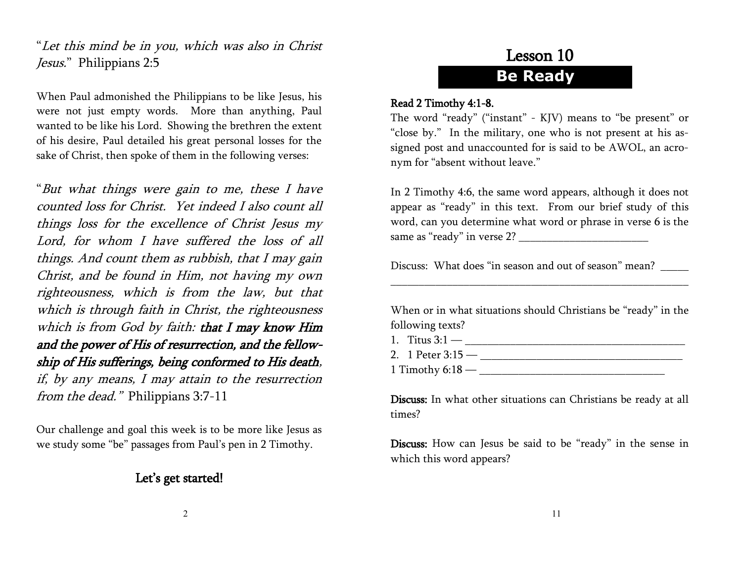"Let this mind be in you, which was also in Christ Jesus." Philippians 2:5

When Paul admonished the Philippians to be like Jesus, his were not just empty words. More than anything, Paul wanted to be like his Lord. Showing the brethren the extent of his desire, Paul detailed his great personal losses for the sake of Christ, then spoke of them in the following verses:

"But what things were gain to me, these I have counted loss for Christ. Yet indeed I also count all things loss for the excellence of Christ Jesus my Lord, for whom I have suffered the loss of all things. And count them as rubbish, that I may gain Christ, and be found in Him, not having my own righteousness, which is from the law, but that which is through faith in Christ, the righteousness which is from God by faith: that I may know Him and the power of His of resurrection, and the fellowship of His sufferings, being conformed to His death, if, by any means, I may attain to the resurrection from the dead." Philippians 3:7-11

Our challenge and goal this week is to be more like Jesus as we study some "be" passages from Paul's pen in 2 Timothy.

#### Let's get started!

# Lesson 10 **Be Ready**

#### Read 2 Timothy 4:1-8.

The word "ready" ("instant" - KJV) means to "be present" or "close by." In the military, one who is not present at his assigned post and unaccounted for is said to be AWOL, an acronym for "absent without leave."

In 2 Timothy 4:6, the same word appears, although it does not appear as "ready" in this text. From our brief study of this word, can you determine what word or phrase in verse 6 is the same as "ready" in verse 2? \_\_\_\_\_\_\_\_\_\_\_\_\_\_\_\_\_\_\_\_\_\_\_

Discuss: What does "in season and out of season" mean?

When or in what situations should Christians be "ready" in the following texts?

\_\_\_\_\_\_\_\_\_\_\_\_\_\_\_\_\_\_\_\_\_\_\_\_\_\_\_\_\_\_\_\_\_\_\_\_\_\_\_\_\_\_\_\_\_\_\_\_\_\_\_\_\_

1. Titus  $3:1$  — 2. 1 Peter 3:15 — \_\_\_\_\_\_\_\_\_\_\_\_\_\_\_\_\_\_\_\_\_\_\_\_\_\_\_\_\_\_\_\_\_\_\_\_ 1 Timothy 6:18 — \_\_\_\_\_\_\_\_\_\_\_\_\_\_\_\_\_\_\_\_\_\_\_\_\_\_\_\_\_\_\_\_\_

Discuss: In what other situations can Christians be ready at all times?

Discuss: How can Jesus be said to be "ready" in the sense in which this word appears?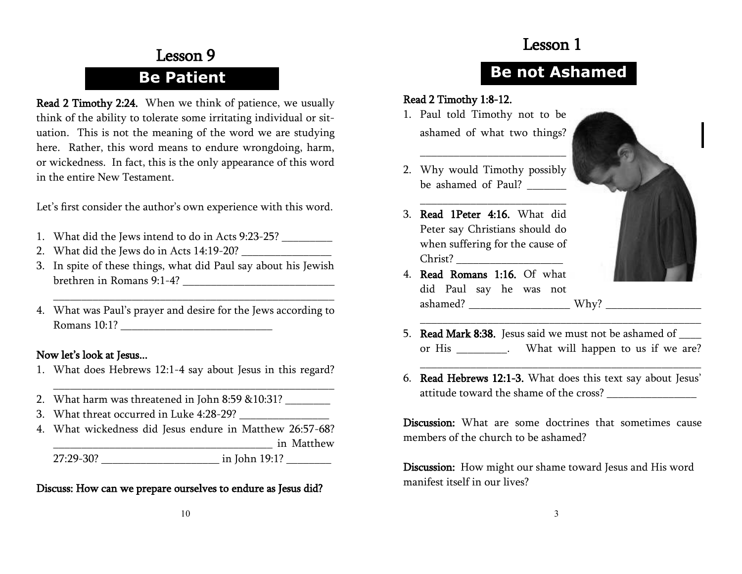### Lesson 1

## Lesson 9 **Be Patient**

Read 2 Timothy 2:24. When we think of patience, we usually think of the ability to tolerate some irritating individual or situation. This is not the meaning of the word we are studying here. Rather, this word means to endure wrongdoing, harm, or wickedness. In fact, this is the only appearance of this word in the entire New Testament.

Let's first consider the author's own experience with this word.

- 1. What did the Jews intend to do in Acts 9:23-25? \_\_\_\_\_\_\_\_\_\_\_\_\_\_\_\_\_\_\_\_\_\_\_\_\_\_\_\_\_
- 2. What did the Jews do in Acts 14:19-20?
- 3. In spite of these things, what did Paul say about his Jewish brethren in Romans 9:1-4? \_\_\_\_\_\_\_\_\_\_\_\_\_\_\_\_\_\_\_\_\_\_\_\_\_\_\_
- 4. What was Paul's prayer and desire for the Jews according to Romans  $10:1$ ?

\_\_\_\_\_\_\_\_\_\_\_\_\_\_\_\_\_\_\_\_\_\_\_\_\_\_\_\_\_\_\_\_\_\_\_\_\_\_\_\_\_\_\_\_\_\_\_\_\_\_

#### Now let's look at Jesus...

1. What does Hebrews 12:1-4 say about Jesus in this regard?

\_\_\_\_\_\_\_\_\_\_\_\_\_\_\_\_\_\_\_\_\_\_\_\_\_\_\_\_\_\_\_\_\_\_\_\_\_\_\_\_\_\_\_\_\_\_\_\_\_\_

- 2. What harm was threatened in John 8:59 &10:31?
- 3. What threat occurred in Luke 4:28-29?
- 4. What wickedness did Jesus endure in Matthew 26:57-68? \_\_\_\_\_\_\_\_\_\_\_\_\_\_\_\_\_\_\_\_\_\_\_\_\_\_\_\_\_\_\_\_\_\_\_\_\_\_\_ in Matthew 27:29-30? \_\_\_\_\_\_\_\_\_\_\_\_\_\_\_\_\_\_\_\_\_ in John 19:1? \_\_\_\_\_\_\_\_

Discuss: How can we prepare ourselves to endure as Jesus did?

### **Be not Ashamed**

#### Read 2 Timothy 1:8-12.

1. Paul told Timothy not to be ashamed of what two things?

\_\_\_\_\_\_\_\_\_\_\_\_\_\_\_\_\_\_\_\_\_\_\_\_\_\_

\_\_\_\_\_\_\_\_\_\_\_\_\_\_\_\_\_\_\_\_\_\_\_\_\_\_ 3. Read 1Peter 4:16. What did Peter say Christians should do when suffering for the cause of Christ?



2. Why would Timothy possibly be ashamed of Paul?

- 4. Read Romans 1:16. Of what did Paul say he was not ashamed? \_\_\_\_\_\_\_\_\_\_\_\_\_\_\_\_\_\_ Why? \_\_\_\_\_\_\_\_\_\_\_\_\_\_\_\_\_
- 5. Read Mark 8:38. Jesus said we must not be ashamed of \_\_\_\_\_ or His \_\_\_\_\_\_\_\_\_. What will happen to us if we are?

\_\_\_\_\_\_\_\_\_\_\_\_\_\_\_\_\_\_\_\_\_\_\_\_\_\_\_\_\_\_\_\_\_\_\_\_\_\_\_\_\_\_\_\_\_\_\_\_\_\_

\_\_\_\_\_\_\_\_\_\_\_\_\_\_\_\_\_\_\_\_\_\_\_\_\_\_\_\_\_\_\_\_\_\_\_\_\_\_\_\_\_\_\_\_\_\_\_\_\_\_

6. Read Hebrews 12:1-3. What does this text say about Jesus' attitude toward the shame of the cross?

Discussion: What are some doctrines that sometimes cause members of the church to be ashamed?

Discussion: How might our shame toward Jesus and His word manifest itself in our lives?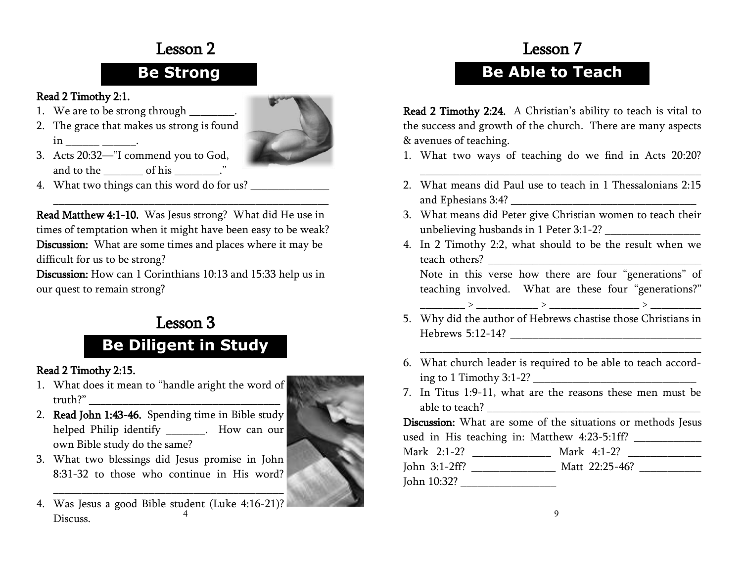### Lesson 2

### **Be Strong**

#### Read 2 Timothy 2:1.

- 1. We are to be strong through \_\_\_\_\_\_\_.
- 2. The grace that makes us strong is found  $\text{in}$  \_\_\_\_\_\_\_\_\_\_\_\_.



- 3. Acts 20:32—"I commend you to God, and to the \_\_\_\_\_\_\_\_\_ of his \_\_\_\_\_\_\_.
- 4. What two things can this word do for us?

Read Matthew 4:1-10. Was Jesus strong? What did He use in times of temptation when it might have been easy to be weak? Discussion: What are some times and places where it may be difficult for us to be strong?

\_\_\_\_\_\_\_\_\_\_\_\_\_\_\_\_\_\_\_\_\_\_\_\_\_\_\_\_\_\_\_\_\_\_\_\_\_\_\_\_\_\_\_\_\_\_\_\_\_

Discussion: How can 1 Corinthians 10:13 and 15:33 help us in our quest to remain strong?

# Lesson 3

# **Be Diligent in Study**

#### Read 2 Timothy 2:15.

- 1. What does it mean to "handle aright the word of truth?" \_\_\_\_\_\_\_\_\_\_\_\_\_\_\_\_\_\_\_\_\_\_\_\_\_\_\_\_\_\_\_\_\_\_
- 2. Read John 1:43-46. Spending time in Bible study helped Philip identify The Mow can our own Bible study do the same?
- 3. What two blessings did Jesus promise in John 8:31-32 to those who continue in His word?
- 4 4. Was Jesus a good Bible student (Luke 4:16-21)? Discuss.



# Lesson 7 **Be Able to Teach**

Read 2 Timothy 2:24. A Christian's ability to teach is vital to

the success and growth of the church. There are many aspects & avenues of teaching.

1. What two ways of teaching do we find in Acts 20:20?

\_\_\_\_\_\_\_\_\_\_\_\_\_\_\_\_\_\_\_\_\_\_\_\_\_\_\_\_\_\_\_\_\_\_\_\_\_\_\_\_\_\_\_\_\_\_\_\_\_\_

- 2. What means did Paul use to teach in 1 Thessalonians 2:15 and Ephesians 3:4? \_\_\_\_\_\_\_\_\_\_\_\_\_\_\_\_\_\_\_\_\_\_\_\_\_\_\_\_\_\_\_\_\_
- 3. What means did Peter give Christian women to teach their unbelieving husbands in 1 Peter 3:1-2? \_\_\_\_\_\_\_\_\_\_\_\_\_\_\_\_\_
- 4. In 2 Timothy 2:2, what should to be the result when we teach others? \_\_\_\_\_\_\_\_\_\_\_\_\_\_\_\_\_\_\_\_\_\_\_\_\_\_\_\_\_\_\_\_\_\_\_\_\_\_ Note in this verse how there are four "generations" of

teaching involved. What are these four "generations?" \_\_\_\_\_\_\_\_ > \_\_\_\_\_\_\_\_\_\_\_ > \_\_\_\_\_\_\_\_\_\_\_\_\_\_\_\_ > \_\_\_\_\_\_\_\_\_

- 5. Why did the author of Hebrews chastise those Christians in Hebrews 5:12-14? \_\_\_\_\_\_\_\_\_\_\_\_\_\_\_\_\_\_\_\_\_\_\_\_\_\_\_\_\_\_\_\_\_\_
- 6. What church leader is required to be able to teach according to 1 Timothy 3:1-2? \_\_\_\_\_\_\_\_\_\_\_\_\_\_\_\_\_\_\_\_\_\_\_\_\_\_\_\_\_

\_\_\_\_\_\_\_\_\_\_\_\_\_\_\_\_\_\_\_\_\_\_\_\_\_\_\_\_\_\_\_\_\_\_\_\_\_\_\_\_\_\_\_\_\_\_\_\_\_\_

7. In Titus 1:9-11, what are the reasons these men must be able to teach?

Discussion: What are some of the situations or methods Jesus used in His teaching in: Matthew 4:23-5:1ff? \_\_\_\_\_\_\_\_\_\_\_\_

| Mark 2:1-2?      | Mark $4:1-2?$  |
|------------------|----------------|
| John $3:1-2ff$ ? | Matt 22:25-46? |
| John 10:32?      |                |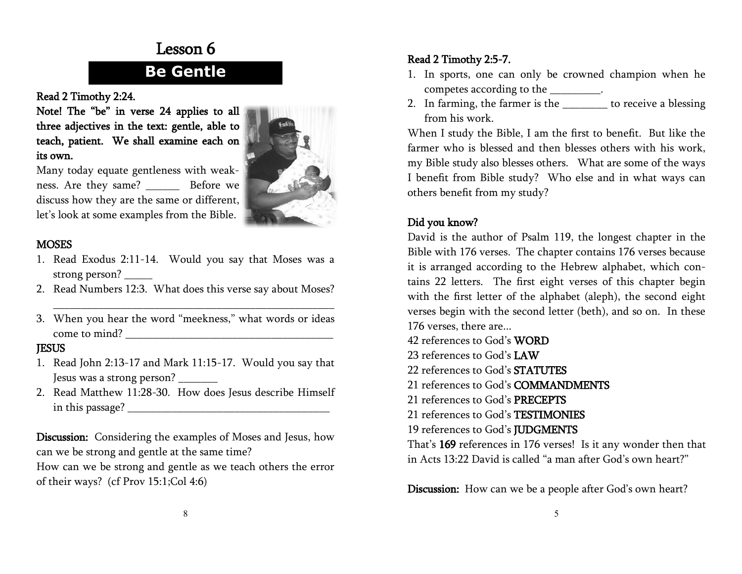### Lesson 6

### **Be Gentle**

Read 2 Timothy 2:24.

Note! The "be" in verse 24 applies to all three adjectives in the text: gentle, able to teach, patient. We shall examine each on its own.



Many today equate gentleness with weakness. Are they same? Before we discuss how they are the same or different, let's look at some examples from the Bible.

#### **MOSES**

- 1. Read Exodus 2:11-14. Would you say that Moses was a strong person? \_\_\_\_\_
- 2. Read Numbers 12:3. What does this verse say about Moses?

\_\_\_\_\_\_\_\_\_\_\_\_\_\_\_\_\_\_\_\_\_\_\_\_\_\_\_\_\_\_\_\_\_\_\_\_\_\_\_\_\_\_\_\_\_\_\_\_\_\_

3. When you hear the word "meekness," what words or ideas come to mind? \_\_\_\_\_\_\_\_\_\_\_\_\_\_\_\_\_\_\_\_\_\_\_\_\_\_\_\_\_\_\_\_\_\_\_\_\_

#### **IESUS**

- 1. Read John 2:13-17 and Mark 11:15-17. Would you say that Jesus was a strong person? \_\_\_\_\_\_\_
- 2. Read Matthew 11:28-30. How does Jesus describe Himself in this passage? \_\_\_\_\_\_\_\_\_\_\_\_\_\_\_\_\_\_\_\_\_\_\_\_\_\_\_\_\_\_\_\_\_\_\_\_

Discussion: Considering the examples of Moses and Jesus, how can we be strong and gentle at the same time?

How can we be strong and gentle as we teach others the error of their ways? (cf Prov 15:1;Col 4:6)

#### Read 2 Timothy 2:5-7.

- 1. In sports, one can only be crowned champion when he competes according to the \_\_\_\_\_\_\_\_\_.
- 2. In farming, the farmer is the \_\_\_\_\_\_\_\_ to receive a blessing from his work.

When I study the Bible, I am the first to benefit. But like the farmer who is blessed and then blesses others with his work, my Bible study also blesses others. What are some of the ways I benefit from Bible study? Who else and in what ways can others benefit from my study?

#### Did you know?

David is the author of Psalm 119, the longest chapter in the Bible with 176 verses. The chapter contains 176 verses because it is arranged according to the Hebrew alphabet, which contains 22 letters. The first eight verses of this chapter begin with the first letter of the alphabet (aleph), the second eight verses begin with the second letter (beth), and so on. In these 176 verses, there are...

- 42 references to God's **WORD** 23 references to God's LAW 22 references to God's STATUTES 21 references to God's COMMANDMENTS
- 21 references to God's PRECEPTS
- 21 references to God's TESTIMONIES
- 19 references to God's JUDGMENTS

That's 169 references in 176 verses! Is it any wonder then that in Acts 13:22 David is called "a man after God's own heart?"

Discussion: How can we be a people after God's own heart?